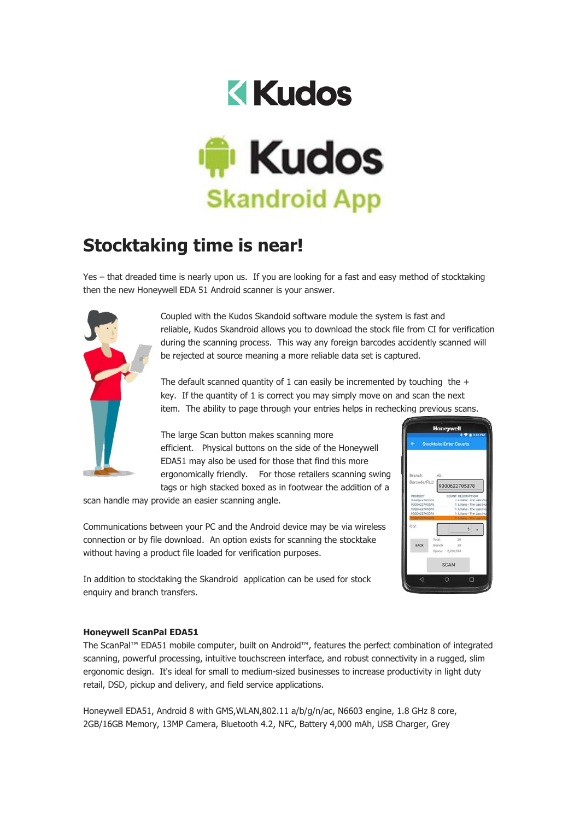

## **Stocktaking time is near!**

Yes – that dreaded time is nearly upon us. If you are looking for a fast and easy method of stocktaking then the new Honeywell EDA 51 Android scanner is your answer.



Coupled with the Kudos Skandoid software module the system is fast and reliable, Kudos Skandroid allows you to download the stock file from CI for verification during the scanning process. This way any foreign barcodes accidently scanned will be rejected at source meaning a more reliable data set is captured.

The default scanned quantity of 1 can easily be incremented by touching the  $+$ key. If the quantity of 1 is correct you may simply move on and scan the next item. The ability to page through your entries helps in rechecking previous scans.

The large Scan button makes scanning more efficient. Physical buttons on the side of the Honeywell EDA51 may also be used for those that find this more ergonomically friendly. For those retailers scanning swing tags or high stacked boxed as in footwear the addition of a

scan handle may provide an easier scanning angle.

Communications between your PC and the Android device may be via wireless connection or by file download. An option exists for scanning the stocktake without having a product file loaded for verification purposes.



In addition to stocktaking the Skandroid application can be used for stock enquiry and branch transfers.

## **Honeywell ScanPal EDA51**

The ScanPal™ EDA51 mobile computer, built on Android™, features the perfect combination of integrated scanning, powerful processing, intuitive touchscreen interface, and robust connectivity in a rugged, slim ergonomic design. It's ideal for small to medium-sized businesses to increase productivity in light duty retail, DSD, pickup and delivery, and field service applications.

Honeywell EDA51, Android 8 with GMS,WLAN,802.11 a/b/g/n/ac, N6603 engine, 1.8 GHz 8 core, 2GB/16GB Memory, 13MP Camera, Bluetooth 4.2, NFC, Battery 4,000 mAh, USB Charger, Grey